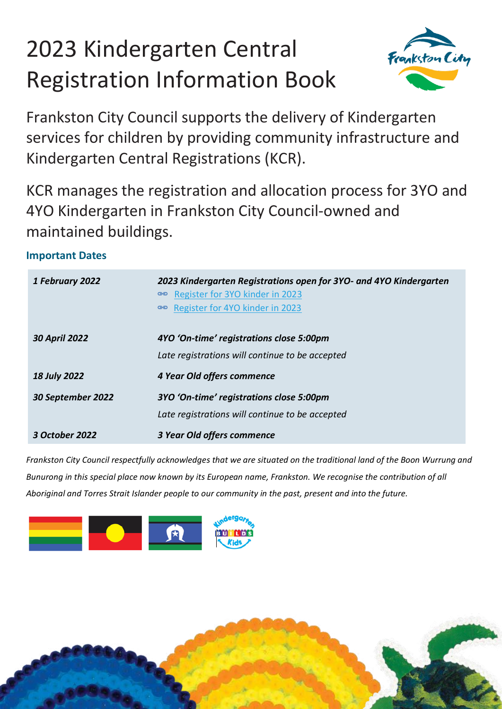# 2023 Kindergarten Central Registration Information Book



Frankston City Council supports the delivery of Kindergarten services for children by providing community infrastructure and Kindergarten Central Registrations (KCR).

KCR manages the registration and allocation process for 3YO and 4YO Kindergarten in Frankston City Council-owned and maintained buildings.

## **Important Dates**

| 1 February 2022      | 2023 Kindergarten Registrations open for 3YO- and 4YO Kindergarten<br>⊕ Register for 3YO kinder in 2023<br>Register for 4YO kinder in 2023<br>GO. |
|----------------------|---------------------------------------------------------------------------------------------------------------------------------------------------|
| <b>30 April 2022</b> | 4YO 'On-time' registrations close 5:00pm                                                                                                          |
|                      | Late registrations will continue to be accepted                                                                                                   |
| <b>18 July 2022</b>  | 4 Year Old offers commence                                                                                                                        |
| 30 September 2022    | 3YO 'On-time' registrations close 5:00pm                                                                                                          |
|                      | Late registrations will continue to be accepted                                                                                                   |
| 3 October 2022       | 3 Year Old offers commence                                                                                                                        |

*Frankston City Council respectfully acknowledges that we are situated on the traditional land of the Boon Wurrung and Bunurong in this special place now known by its European name, Frankston. We recognise the contribution of all Aboriginal and Torres Strait Islander people to our community in the past, present and into the future.*



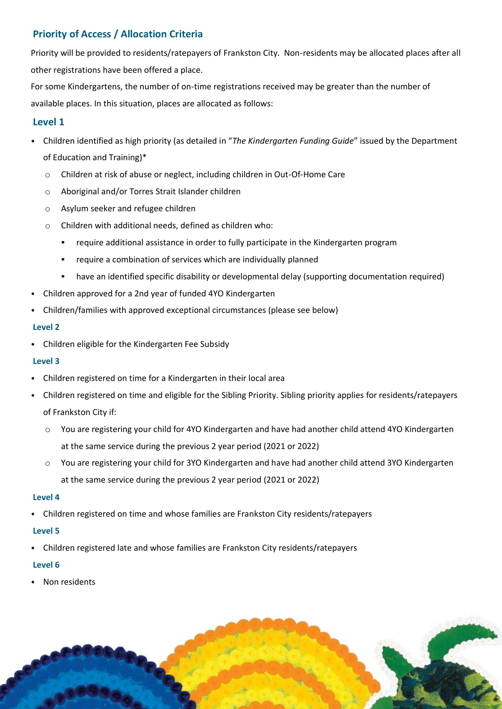## **Priority of Access / Allocation Criteria**

Priority will be provided to residents/ratepayers of Frankston City. Non-residents may be allocated places after all other registrations have been offered a place.

For some Kindergartens, the number of on-time registrations received may be greater than the number of available places. In this situation, places are allocated as follows:

## **Level 1**

- Children identified as high priority (as detailed in "*The Kindergarten Funding Guide*" issued by the Department of Education and Training)\*
	- o Children at risk of abuse or neglect, including children in Out-Of-Home Care
	- o Aboriginal and/or Torres Strait Islander children
	- o Asylum seeker and refugee children
	- o Children with additional needs, defined as children who:
		- require additional assistance in order to fully participate in the Kindergarten program
		- require a combination of services which are individually planned
		- have an identified specific disability or developmental delay (supporting documentation required)
- Children approved for a 2nd year of funded 4YO Kindergarten
- Children/families with approved exceptional circumstances (please see below)

#### **Level 2**

• Children eligible for the Kindergarten Fee Subsidy

### **Level 3**

- Children registered on time for a Kindergarten in their local area
- Children registered on time and eligible for the Sibling Priority. Sibling priority applies for residents/ratepayers of Frankston City if:
	- o You are registering your child for 4YO Kindergarten and have had another child attend 4YO Kindergarten at the same service during the previous 2 year period (2021 or 2022)
	- o You are registering your child for 3YO Kindergarten and have had another child attend 3YO Kindergarten at the same service during the previous 2 year period (2021 or 2022)

### **Level 4**

• Children registered on time and whose families are Frankston City residents/ratepayers

### **Level 5**

• Children registered late and whose families are Frankston City residents/ratepayers

### **Level 6**

• Non residents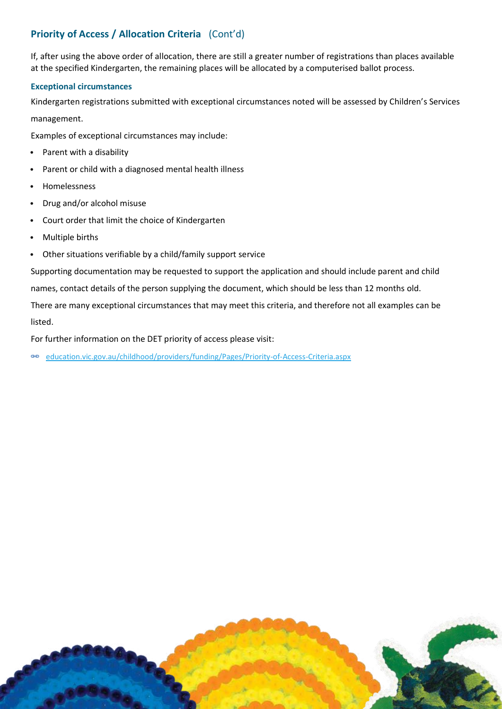## **Priority of Access / Allocation Criteria** (Cont'd)

If, after using the above order of allocation, there are still a greater number of registrations than places available at the specified Kindergarten, the remaining places will be allocated by a computerised ballot process.

#### **Exceptional circumstances**

Kindergarten registrations submitted with exceptional circumstances noted will be assessed by Children's Services management.

Examples of exceptional circumstances may include:

- Parent with a disability
- Parent or child with a diagnosed mental health illness
- Homelessness
- Drug and/or alcohol misuse
- Court order that limit the choice of Kindergarten
- Multiple births
- Other situations verifiable by a child/family support service

Supporting documentation may be requested to support the application and should include parent and child

names, contact details of the person supplying the document, which should be less than 12 months old.

There are many exceptional circumstances that may meet this criteria, and therefore not all examples can be listed.

For further information on the DET priority of access please visit:

[education.vic.gov.au/childhood/providers/funding/Pages/Priority-of-Access-Criteria.aspx](https://www.education.vic.gov.au/childhood/providers/funding/Pages/Priority-of-Access-Criteria.aspx)

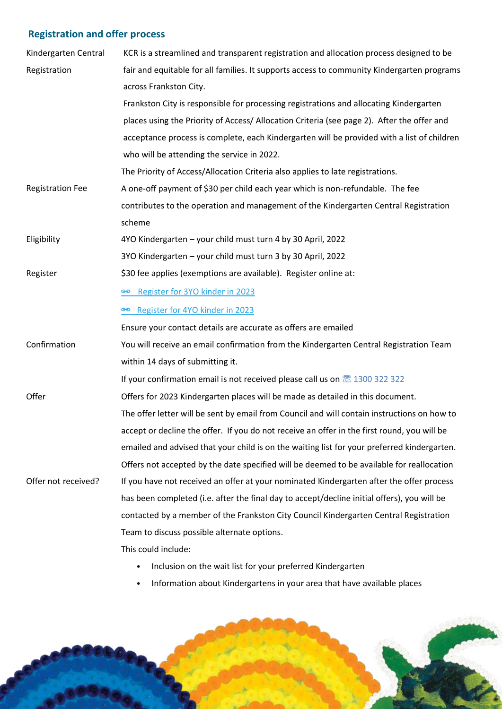## **Registration and offer process**

| Kindergarten Central    | KCR is a streamlined and transparent registration and allocation process designed to be             |
|-------------------------|-----------------------------------------------------------------------------------------------------|
| Registration            | fair and equitable for all families. It supports access to community Kindergarten programs          |
|                         | across Frankston City.                                                                              |
|                         | Frankston City is responsible for processing registrations and allocating Kindergarten              |
|                         | places using the Priority of Access/ Allocation Criteria (see page 2). After the offer and          |
|                         | acceptance process is complete, each Kindergarten will be provided with a list of children          |
|                         | who will be attending the service in 2022.                                                          |
|                         | The Priority of Access/Allocation Criteria also applies to late registrations.                      |
| <b>Registration Fee</b> | A one-off payment of \$30 per child each year which is non-refundable. The fee                      |
|                         | contributes to the operation and management of the Kindergarten Central Registration                |
|                         | scheme                                                                                              |
| Eligibility             | 4YO Kindergarten - your child must turn 4 by 30 April, 2022                                         |
|                         | 3YO Kindergarten - your child must turn 3 by 30 April, 2022                                         |
| Register                | \$30 fee applies (exemptions are available). Register online at:                                    |
|                         | Register for 3YO kinder in 2023                                                                     |
|                         | Register for 4YO kinder in 2023                                                                     |
|                         | Ensure your contact details are accurate as offers are emailed                                      |
| Confirmation            | You will receive an email confirmation from the Kindergarten Central Registration Team              |
|                         | within 14 days of submitting it.                                                                    |
|                         | If your confirmation email is not received please call us on $\overline{\circledcirc}$ 1300 322 322 |
| Offer                   | Offers for 2023 Kindergarten places will be made as detailed in this document.                      |
|                         | The offer letter will be sent by email from Council and will contain instructions on how to         |
|                         | accept or decline the offer. If you do not receive an offer in the first round, you will be         |
|                         | emailed and advised that your child is on the waiting list for your preferred kindergarten.         |
|                         | Offers not accepted by the date specified will be deemed to be available for reallocation           |
| Offer not received?     | If you have not received an offer at your nominated Kindergarten after the offer process            |
|                         | has been completed (i.e. after the final day to accept/decline initial offers), you will be         |
|                         | contacted by a member of the Frankston City Council Kindergarten Central Registration               |
|                         | Team to discuss possible alternate options.                                                         |
|                         | This could include:                                                                                 |

- Inclusion on the wait list for your preferred Kindergarten
- Information about Kindergartens in your area that have available places

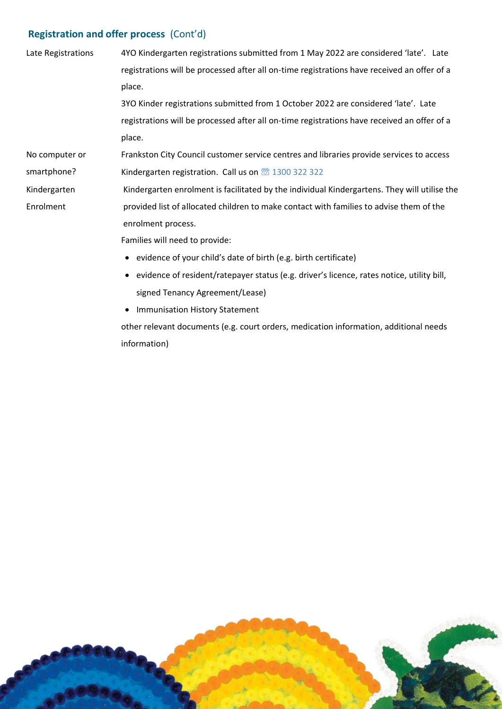## **Registration and offer process** (Cont'd)

| Late Registrations | 4YO Kindergarten registrations submitted from 1 May 2022 are considered 'late'. Late         |
|--------------------|----------------------------------------------------------------------------------------------|
|                    | registrations will be processed after all on-time registrations have received an offer of a  |
|                    | place.                                                                                       |
|                    | 3YO Kinder registrations submitted from 1 October 2022 are considered 'late'. Late           |
|                    | registrations will be processed after all on-time registrations have received an offer of a  |
|                    | place.                                                                                       |
| No computer or     | Frankston City Council customer service centres and libraries provide services to access     |
| smartphone?        | Kindergarten registration. Call us on $\overline{\circledS}$ 1300 322 322                    |
| Kindergarten       | Kindergarten enrolment is facilitated by the individual Kindergartens. They will utilise the |
| Enrolment          | provided list of allocated children to make contact with families to advise them of the      |
|                    | enrolment process.                                                                           |
|                    | Families will need to provide:                                                               |
|                    | • evidence of your child's date of birth (e.g. birth certificate)                            |
|                    | • evidence of resident/ratepayer status (e.g. driver's licence, rates notice, utility bill,  |
|                    | signed Tenancy Agreement/Lease)                                                              |

• Immunisation History Statement

other relevant documents (e.g. court orders, medication information, additional needs information)

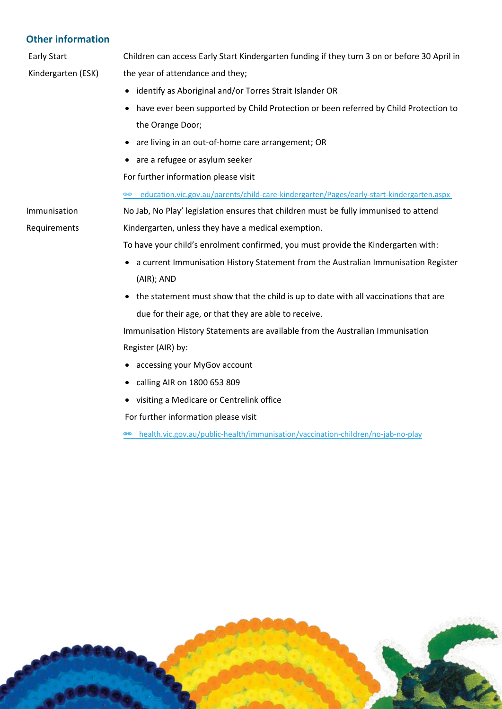## **Other information**

Early Start Kindergarten (ESK) Children can access Early Start Kindergarten funding if they turn 3 on or before 30 April in the year of attendance and they;

- identify as Aboriginal and/or Torres Strait Islander OR
- have ever been supported by Child Protection or been referred by Child Protection to the Orange Door;
- are living in an out-of-home care arrangement; OR
- are a refugee or asylum seeker

For further information please visit

education.vic.gov.au/parents/child-care-kindergarten/Pages/early-start-kindergarten.aspx

No Jab, No Play' legislation ensures that children must be fully immunised to attend Kindergarten, unless they have a medical exemption.

To have your child's enrolment confirmed, you must provide the Kindergarten with:

- a current Immunisation History Statement from the Australian Immunisation Register (AIR); AND
- the statement must show that the child is up to date with all vaccinations that are due for their age, or that they are able to receive.

Immunisation History Statements are available from the Australian Immunisation Register (AIR) by:

- accessing your MyGov account
- calling AIR on 1800 653 809
- visiting a Medicare or Centrelink office

For further information please visit

[health.vic.gov.au/public-health/immunisation/vaccination-children/no-jab-no-play](https://www.health.vic.gov.au/immunisation/no-jab-no-play)



Immunisation

Requirements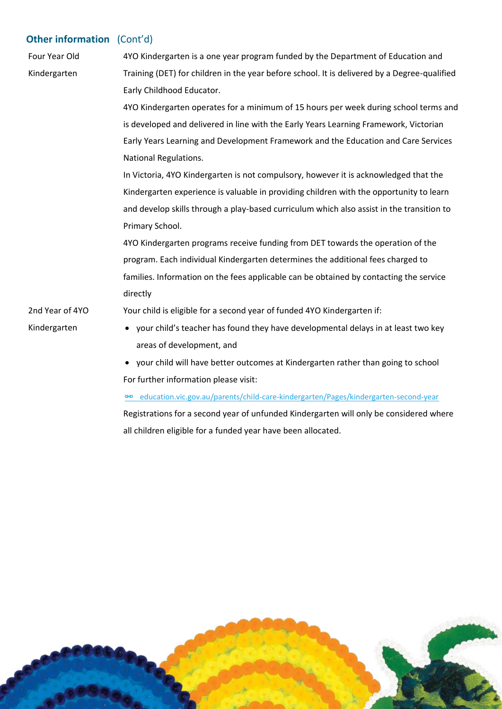## **Other information** (Cont'd)

| Four Year Old   | 4YO Kindergarten is a one year program funded by the Department of Education and             |
|-----------------|----------------------------------------------------------------------------------------------|
| Kindergarten    | Training (DET) for children in the year before school. It is delivered by a Degree-qualified |
|                 | Early Childhood Educator.                                                                    |
|                 | 4YO Kindergarten operates for a minimum of 15 hours per week during school terms and         |
|                 | is developed and delivered in line with the Early Years Learning Framework, Victorian        |
|                 | Early Years Learning and Development Framework and the Education and Care Services           |
|                 | National Regulations.                                                                        |
|                 | In Victoria, 4YO Kindergarten is not compulsory, however it is acknowledged that the         |
|                 | Kindergarten experience is valuable in providing children with the opportunity to learn      |
|                 | and develop skills through a play-based curriculum which also assist in the transition to    |
|                 | Primary School.                                                                              |
|                 | 4YO Kindergarten programs receive funding from DET towards the operation of the              |
|                 | program. Each individual Kindergarten determines the additional fees charged to              |
|                 | families. Information on the fees applicable can be obtained by contacting the service       |
|                 | directly                                                                                     |
| 2nd Year of 4YO | Your child is eligible for a second year of funded 4YO Kindergarten if:                      |
| Kindergarten    | • your child's teacher has found they have developmental delays in at least two key          |
|                 | areas of development, and                                                                    |
|                 | • your child will have better outcomes at Kindergarten rather than going to school           |
|                 | For further information please visit:                                                        |
|                 | education.vic.gov.au/parents/child-care-kindergarten/Pages/kindergarten-second-year<br>පෙ    |

Registrations for a second year of unfunded Kindergarten will only be considered where all children eligible for a funded year have been allocated.